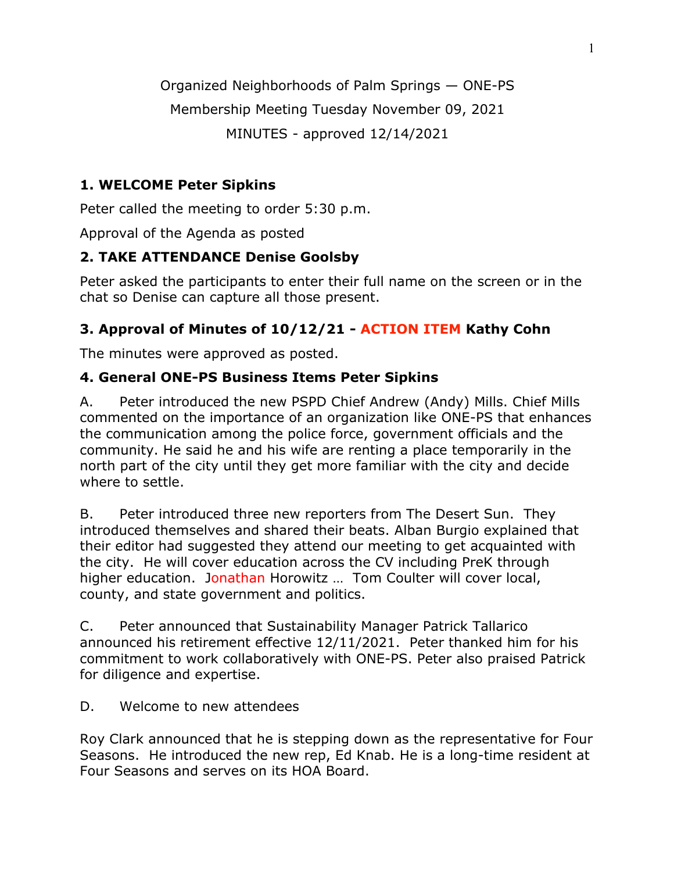Organized Neighborhoods of Palm Springs — ONE-PS

Membership Meeting Tuesday November 09, 2021

MINUTES - approved 12/14/2021

# **1. WELCOME Peter Sipkins**

Peter called the meeting to order 5:30 p.m.

Approval of the Agenda as posted

# **2. TAKE ATTENDANCE Denise Goolsby**

Peter asked the participants to enter their full name on the screen or in the chat so Denise can capture all those present.

# **3. Approval of Minutes of 10/12/21 - ACTION ITEM Kathy Cohn**

The minutes were approved as posted.

# **4. General ONE-PS Business Items Peter Sipkins**

A. Peter introduced the new PSPD Chief Andrew (Andy) Mills. Chief Mills commented on the importance of an organization like ONE-PS that enhances the communication among the police force, government officials and the community. He said he and his wife are renting a place temporarily in the north part of the city until they get more familiar with the city and decide where to settle.

B. Peter introduced three new reporters from The Desert Sun. They introduced themselves and shared their beats. Alban Burgio explained that their editor had suggested they attend our meeting to get acquainted with the city. He will cover education across the CV including PreK through higher education. Jonathan Horowitz ... Tom Coulter will cover local, county, and state government and politics.

C. Peter announced that Sustainability Manager Patrick Tallarico announced his retirement effective 12/11/2021. Peter thanked him for his commitment to work collaboratively with ONE-PS. Peter also praised Patrick for diligence and expertise.

# D. Welcome to new attendees

Roy Clark announced that he is stepping down as the representative for Four Seasons. He introduced the new rep, Ed Knab. He is a long-time resident at Four Seasons and serves on its HOA Board.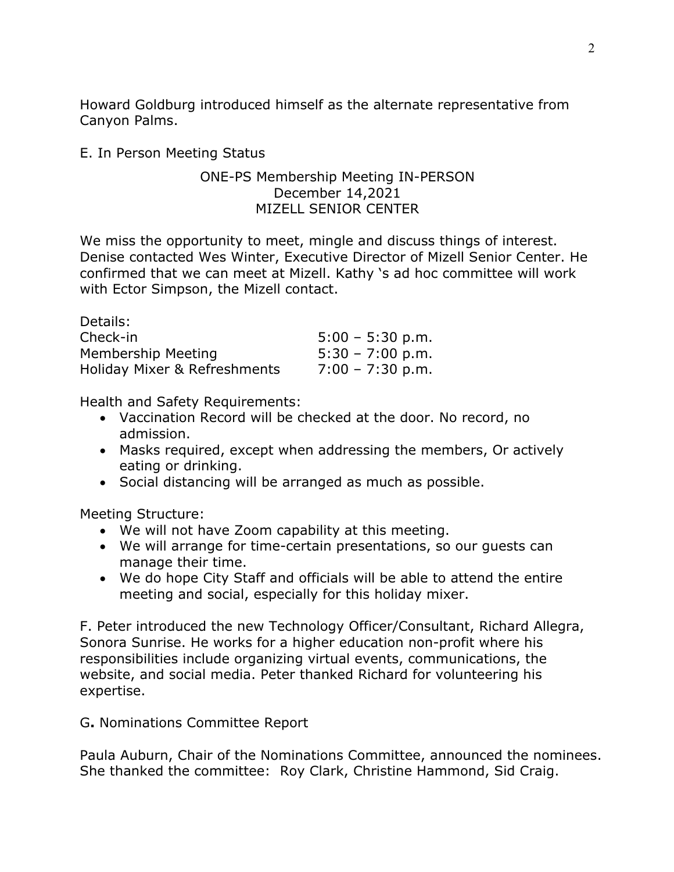Howard Goldburg introduced himself as the alternate representative from Canyon Palms.

#### E. In Person Meeting Status

#### ONE-PS Membership Meeting IN-PERSON December 14,2021 MIZELL SENIOR CENTER

We miss the opportunity to meet, mingle and discuss things of interest. Denise contacted Wes Winter, Executive Director of Mizell Senior Center. He confirmed that we can meet at Mizell. Kathy 's ad hoc committee will work with Ector Simpson, the Mizell contact.

| Details:                     |                    |
|------------------------------|--------------------|
| Check-in                     | $5:00 - 5:30$ p.m. |
| Membership Meeting           | $5:30 - 7:00$ p.m. |
| Holiday Mixer & Refreshments | $7:00 - 7:30$ p.m. |

Health and Safety Requirements:

- Vaccination Record will be checked at the door. No record, no admission.
- Masks required, except when addressing the members, Or actively eating or drinking.
- Social distancing will be arranged as much as possible.

Meeting Structure:

- We will not have Zoom capability at this meeting.
- We will arrange for time-certain presentations, so our guests can manage their time.
- We do hope City Staff and officials will be able to attend the entire meeting and social, especially for this holiday mixer.

F. Peter introduced the new Technology Officer/Consultant, Richard Allegra, Sonora Sunrise. He works for a higher education non-profit where his responsibilities include organizing virtual events, communications, the website, and social media. Peter thanked Richard for volunteering his expertise.

G**.** Nominations Committee Report

Paula Auburn, Chair of the Nominations Committee, announced the nominees. She thanked the committee: Roy Clark, Christine Hammond, Sid Craig.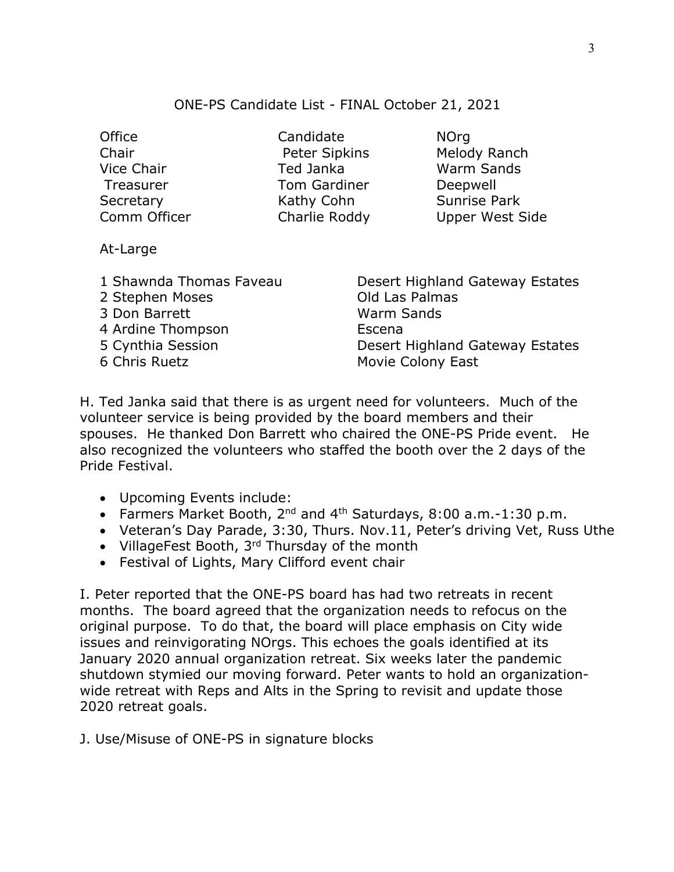#### ONE-PS Candidate List - FINAL October 21, 2021

| Office                  | Candidate            | <b>NOrg</b>                     |
|-------------------------|----------------------|---------------------------------|
| Chair                   | <b>Peter Sipkins</b> | Melody Ranch                    |
| Vice Chair              | Ted Janka            | <b>Warm Sands</b>               |
| Treasurer               | <b>Tom Gardiner</b>  | Deepwell                        |
| Secretary               | Kathy Cohn           | <b>Sunrise Park</b>             |
| Comm Officer            | Charlie Roddy        | <b>Upper West Side</b>          |
|                         |                      |                                 |
| At-Large                |                      |                                 |
|                         |                      |                                 |
| 1 Shawnda Thomas Faveau |                      | Desert Highland Gateway Estates |

2 Stephen Moses Contract Cold Las Palmas 3 Don Barrett Warm Sands

4 Ardine Thompson Escena

6 Chris Ruetz Movie Colony East H. Ted Janka said that there is as urgent need for volunteers. Much of the volunteer service is being provided by the board members and their spouses. He thanked Don Barrett who chaired the ONE-PS Pride event. He also recognized the volunteers who staffed the booth over the 2 days of the Pride Festival.

5 Cynthia Session Desert Highland Gateway Estates

- Upcoming Events include:
- Farmers Market Booth, 2nd and 4th Saturdays, 8:00 a.m.-1:30 p.m.
- Veteran's Day Parade, 3:30, Thurs. Nov.11, Peter's driving Vet, Russ Uthe
- VillageFest Booth, 3<sup>rd</sup> Thursday of the month
- Festival of Lights, Mary Clifford event chair

I. Peter reported that the ONE-PS board has had two retreats in recent months. The board agreed that the organization needs to refocus on the original purpose. To do that, the board will place emphasis on City wide issues and reinvigorating NOrgs. This echoes the goals identified at its January 2020 annual organization retreat. Six weeks later the pandemic shutdown stymied our moving forward. Peter wants to hold an organizationwide retreat with Reps and Alts in the Spring to revisit and update those 2020 retreat goals.

J. Use/Misuse of ONE-PS in signature blocks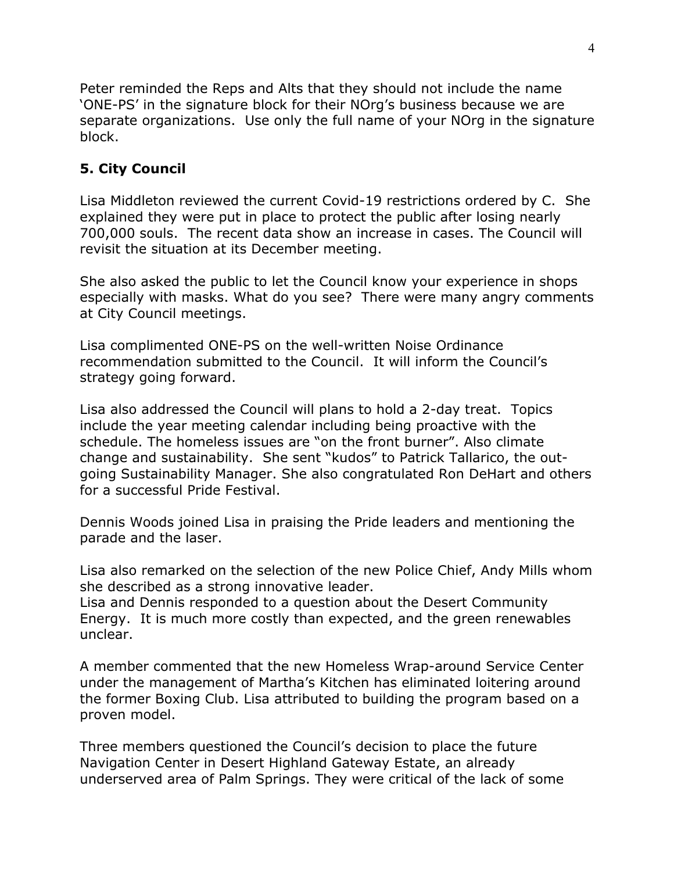Peter reminded the Reps and Alts that they should not include the name 'ONE-PS' in the signature block for their NOrg's business because we are separate organizations. Use only the full name of your NOrg in the signature block.

#### **5. City Council**

Lisa Middleton reviewed the current Covid-19 restrictions ordered by C. She explained they were put in place to protect the public after losing nearly 700,000 souls. The recent data show an increase in cases. The Council will revisit the situation at its December meeting.

She also asked the public to let the Council know your experience in shops especially with masks. What do you see? There were many angry comments at City Council meetings.

Lisa complimented ONE-PS on the well-written Noise Ordinance recommendation submitted to the Council. It will inform the Council's strategy going forward.

Lisa also addressed the Council will plans to hold a 2-day treat. Topics include the year meeting calendar including being proactive with the schedule. The homeless issues are "on the front burner". Also climate change and sustainability. She sent "kudos" to Patrick Tallarico, the outgoing Sustainability Manager. She also congratulated Ron DeHart and others for a successful Pride Festival.

Dennis Woods joined Lisa in praising the Pride leaders and mentioning the parade and the laser.

Lisa also remarked on the selection of the new Police Chief, Andy Mills whom she described as a strong innovative leader.

Lisa and Dennis responded to a question about the Desert Community Energy. It is much more costly than expected, and the green renewables unclear.

A member commented that the new Homeless Wrap-around Service Center under the management of Martha's Kitchen has eliminated loitering around the former Boxing Club. Lisa attributed to building the program based on a proven model.

Three members questioned the Council's decision to place the future Navigation Center in Desert Highland Gateway Estate, an already underserved area of Palm Springs. They were critical of the lack of some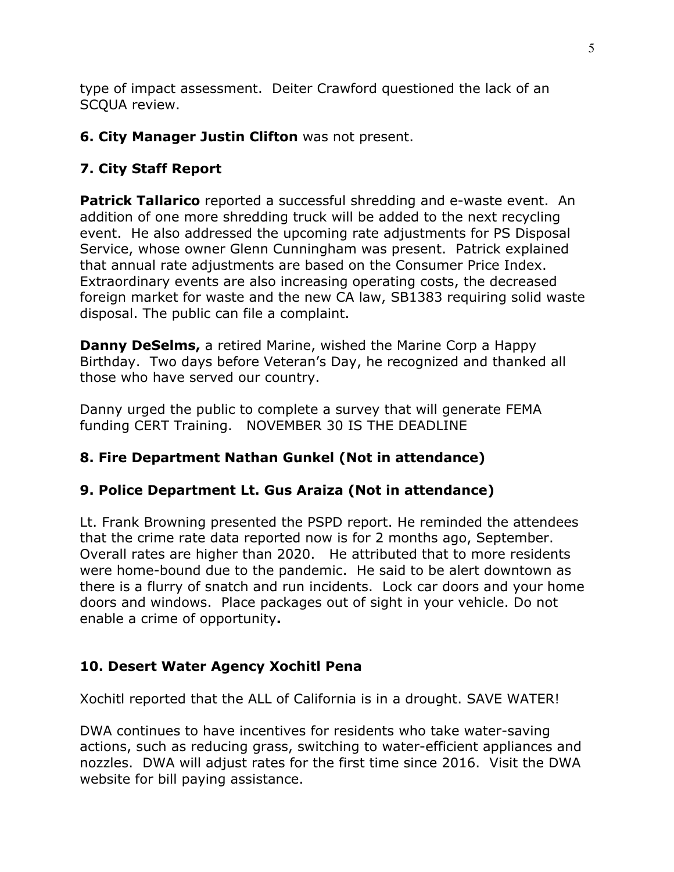type of impact assessment. Deiter Crawford questioned the lack of an SCQUA review.

#### **6. City Manager Justin Clifton** was not present.

#### **7. City Staff Report**

**Patrick Tallarico** reported a successful shredding and e-waste event. An addition of one more shredding truck will be added to the next recycling event. He also addressed the upcoming rate adjustments for PS Disposal Service, whose owner Glenn Cunningham was present. Patrick explained that annual rate adjustments are based on the Consumer Price Index. Extraordinary events are also increasing operating costs, the decreased foreign market for waste and the new CA law, SB1383 requiring solid waste disposal. The public can file a complaint.

**Danny DeSelms,** a retired Marine, wished the Marine Corp a Happy Birthday. Two days before Veteran's Day, he recognized and thanked all those who have served our country.

Danny urged the public to complete a survey that will generate FEMA funding CERT Training. NOVEMBER 30 IS THE DEADLINE

#### **8. Fire Department Nathan Gunkel (Not in attendance)**

#### **9. Police Department Lt. Gus Araiza (Not in attendance)**

Lt. Frank Browning presented the PSPD report. He reminded the attendees that the crime rate data reported now is for 2 months ago, September. Overall rates are higher than 2020. He attributed that to more residents were home-bound due to the pandemic. He said to be alert downtown as there is a flurry of snatch and run incidents. Lock car doors and your home doors and windows. Place packages out of sight in your vehicle. Do not enable a crime of opportunity**.** 

#### **10. Desert Water Agency Xochitl Pena**

Xochitl reported that the ALL of California is in a drought. SAVE WATER!

DWA continues to have incentives for residents who take water-saving actions, such as reducing grass, switching to water-efficient appliances and nozzles. DWA will adjust rates for the first time since 2016. Visit the DWA website for bill paying assistance.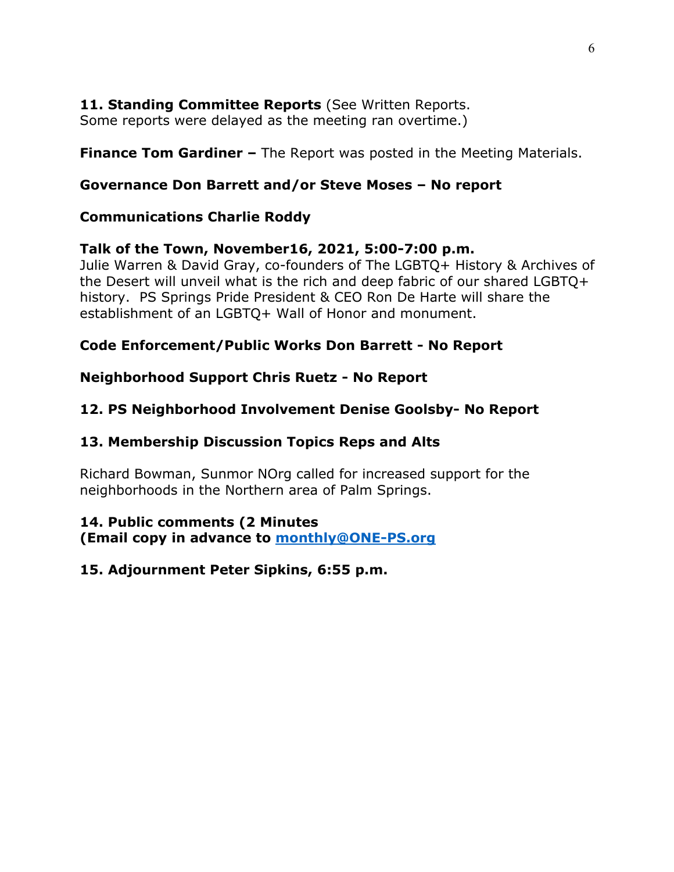## **11. Standing Committee Reports** (See Written Reports.

Some reports were delayed as the meeting ran overtime.)

**Finance Tom Gardiner –** The Report was posted in the Meeting Materials.

## **Governance Don Barrett and/or Steve Moses – No report**

## **Communications Charlie Roddy**

## **Talk of the Town, November16, 2021, 5:00-7:00 p.m.**

Julie Warren & David Gray, co-founders of The LGBTQ+ History & Archives of the Desert will unveil what is the rich and deep fabric of our shared LGBTQ+ history. PS Springs Pride President & CEO Ron De Harte will share the establishment of an LGBTQ+ Wall of Honor and monument.

# **Code Enforcement/Public Works Don Barrett - No Report**

# **Neighborhood Support Chris Ruetz - No Report**

# **12. PS Neighborhood Involvement Denise Goolsby- No Report**

### **13. Membership Discussion Topics Reps and Alts**

Richard Bowman, Sunmor NOrg called for increased support for the neighborhoods in the Northern area of Palm Springs.

#### **14. Public comments (2 Minutes**

**(Email copy in advance to monthly@ONE-PS.org**

# **15. Adjournment Peter Sipkins, 6:55 p.m.**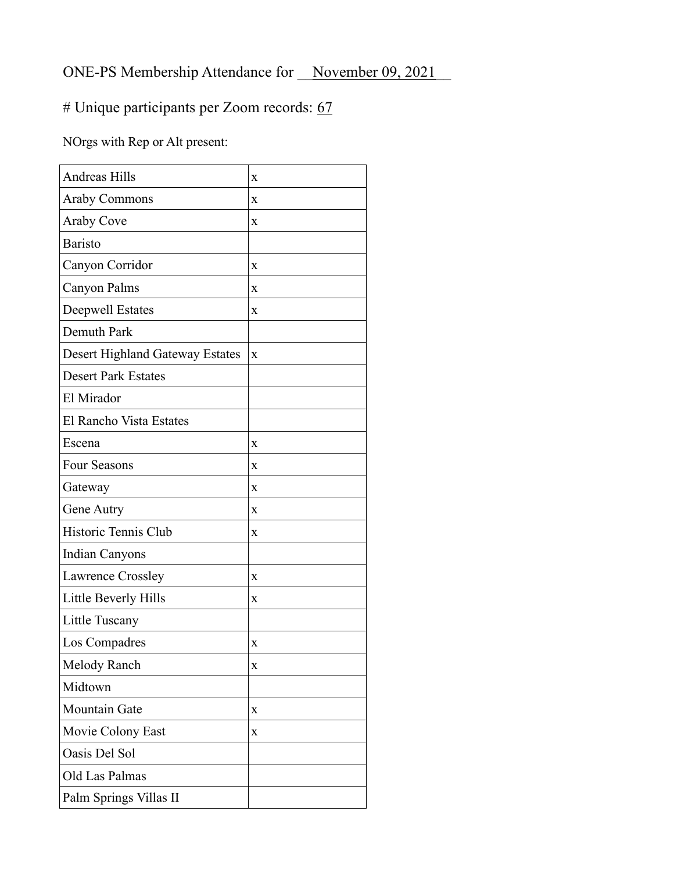# ONE-PS Membership Attendance for November 09, 2021

# # Unique participants per Zoom records: 67

NOrgs with Rep or Alt present:

| <b>Andreas Hills</b>            | X            |
|---------------------------------|--------------|
| <b>Araby Commons</b>            | X            |
| Araby Cove                      | $\mathbf x$  |
| <b>Baristo</b>                  |              |
| Canyon Corridor                 | X            |
| Canyon Palms                    | X            |
| <b>Deepwell Estates</b>         | X            |
| Demuth Park                     |              |
| Desert Highland Gateway Estates | $\mathbf{x}$ |
| <b>Desert Park Estates</b>      |              |
| El Mirador                      |              |
| El Rancho Vista Estates         |              |
| Escena                          | X            |
| <b>Four Seasons</b>             | $\mathbf x$  |
| Gateway                         | X            |
| Gene Autry                      | $\mathbf x$  |
| Historic Tennis Club            | $\mathbf{x}$ |
| <b>Indian Canyons</b>           |              |
| Lawrence Crossley               | X            |
| Little Beverly Hills            | X            |
| Little Tuscany                  |              |
| Los Compadres                   | X            |
| Melody Ranch                    | x            |
| Midtown                         |              |
| <b>Mountain Gate</b>            | X            |
| Movie Colony East               | X            |
| Oasis Del Sol                   |              |
| Old Las Palmas                  |              |
| Palm Springs Villas II          |              |